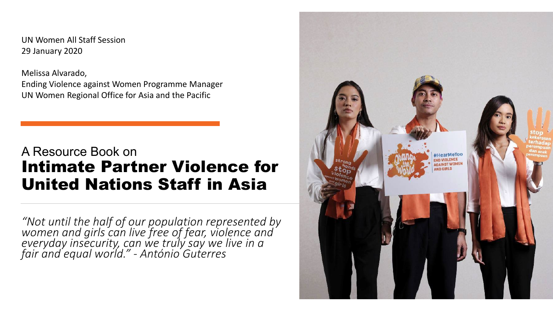UN Women All Staff Session 29 January 2020

Melissa Alvarado, Ending Violence against Women Programme Manager UN Women Regional Office for Asia and the Pacific

#### A Resource Book on Intimate Partner Violence for United Nations Staff in Asia

*"Not until the half of our population represented by women and girls can live free of fear, violence and everyday insecurity, can we truly say we live in a fair and equal world." - António Guterres*

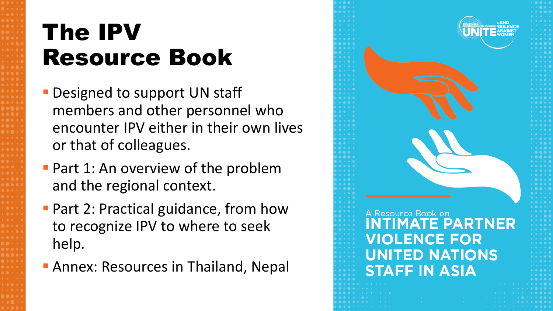# The IPV Resource Book

- **Designed to support UN staff** members and other personnel who encounter IPV either in their own lives or that of colleagues.
- **Part 1: An overview of the problem** and the regional context.
- **Part 2: Practical guidance, from how** to recognize IPV to where to seek help.
- **Annex: Resources in Thailand, Nepal**

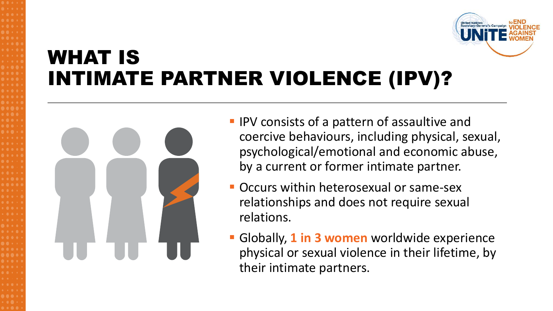

### WHAT IS INTIMATE PARTNER VIOLENCE (IPV)?



- **IPV** consists of a pattern of assaultive and coercive behaviours, including physical, sexual, psychological/emotional and economic abuse, by a current or former intimate partner.
- Occurs within heterosexual or same-sex relationships and does not require sexual relations.
- Globally, **1 in 3 women** worldwide experience physical or sexual violence in their lifetime, by their intimate partners.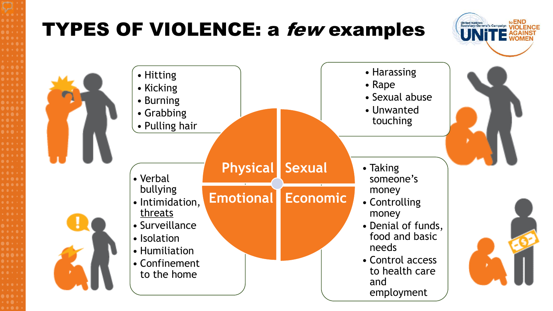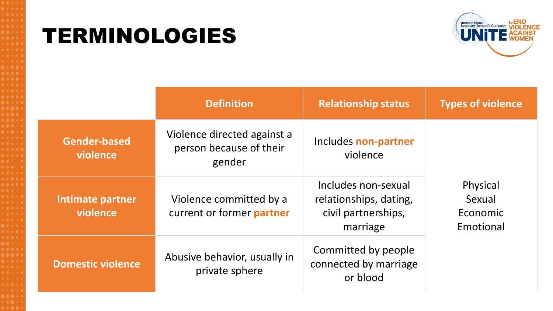### TERMINOLOGIES



|                                 | <b>Definition</b>                                                | <b>Relationship status</b>                                                       | <b>Types of violence</b>                    |
|---------------------------------|------------------------------------------------------------------|----------------------------------------------------------------------------------|---------------------------------------------|
| <b>Gender-based</b><br>violence | Violence directed against a<br>person because of their<br>gender | Includes non-partner<br>violence                                                 | Physical<br>Sexual<br>Economic<br>Emotional |
| Intimate partner<br>violence    | Violence committed by a<br>current or former partner             | Includes non-sexual<br>relationships, dating,<br>civil partnerships,<br>marriage |                                             |
| <b>Domestic violence</b>        | Abusive behavior, usually in<br>private sphere                   | Committed by people<br>connected by marriage<br>or blood                         |                                             |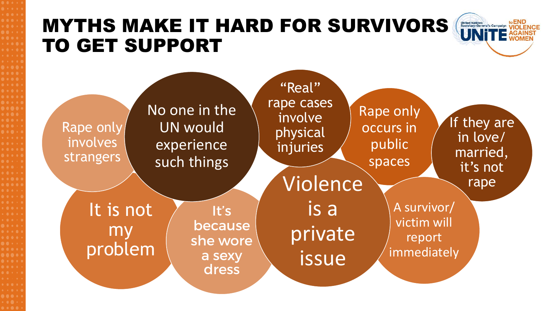### MYTHS MAKE IT HARD FOR SURVIVORS TO GET SUPPORT



**United Nations<br>Secretary-General's Campaign**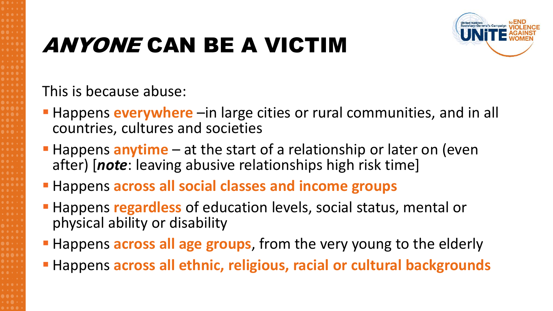## ANYONE CAN BE A VICTIM



This is because abuse:

- **Happens everywhere** –in large cities or rural communities, and in all countries, cultures and societies
- **Happens anytime** at the start of a relationship or later on (even after) [*note*: leaving abusive relationships high risk time]
- **Happens across all social classes and income groups**
- **Happens regardless** of education levels, social status, mental or physical ability or disability
- **Happens across all age groups**, from the very young to the elderly
- **Happens across all ethnic, religious, racial or cultural backgrounds**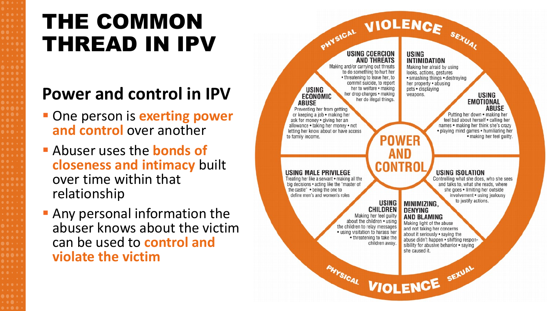### THE COMMON THREAD IN IPV

### **Power and control in IPV**

- **One person is exerting power and control** over another
- Abuser uses the **bonds of closeness and intimacy** built over time within that relationship
- **Any personal information the** abuser knows about the victim can be used to **control and violate the victim**

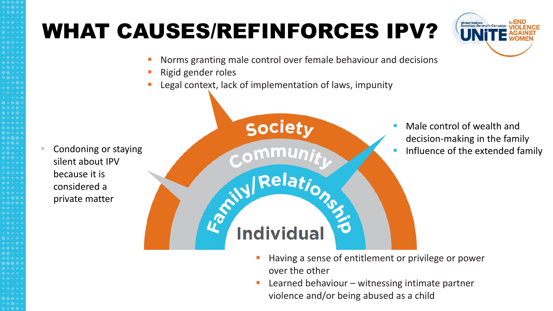### WHAT CAUSES/REFINFORCES IPV?

- Norms granting male control over female behaviour and decisions
- Rigid gender roles
- 

 Condoning or staying silent about IPV because it is considered a private matter



- Having a sense of entitlement or privilege or power over the other
- Learned behaviour witnessing intimate partner violence and/or being abused as a child

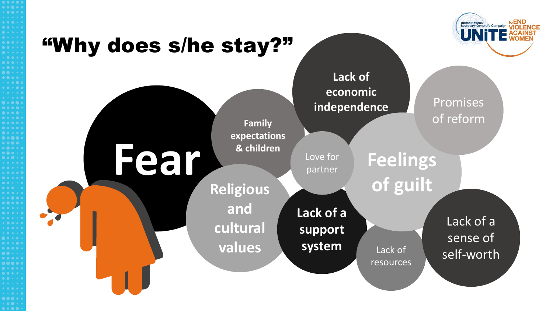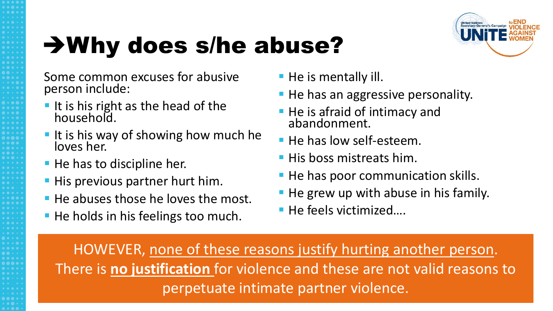# Why does s/he abuse?



Some common excuses for abusive person include:

- It is his right as the head of the household.
- It is his way of showing how much he loves her.
- **He has to discipline her.**
- **His previous partner hurt him.**
- **He abuses those he loves the most.**
- **He holds in his feelings too much.**
- **He is mentally ill.**
- **He has an aggressive personality.**
- **He is afraid of intimacy and** abandonment.
- He has low self-esteem.
- **His boss mistreats him.**
- **He has poor communication skills.**
- He grew up with abuse in his family.
- He feels victimized....

HOWEVER, none of these reasons justify hurting another person. There is **no justification** for violence and these are not valid reasons to perpetuate intimate partner violence.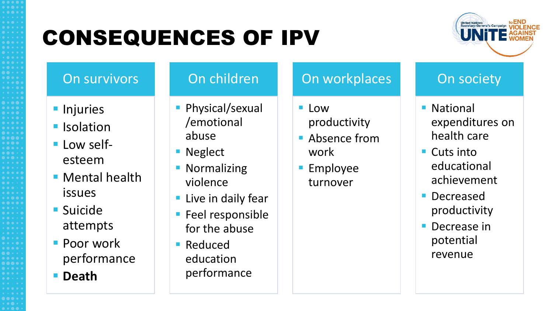## CONSEQUENCES OF IPV



#### On survivors

- **Injuries**
- **I**solation
- Low selfesteem
- **Mental health** issues
- **Suicide** attempts
- **Poor work** performance
- **P** Death

#### On children

- **Physical/sexual** /emotional abuse
- **Neglect**
- **Normalizing** violence
- **Live in daily fear**
- **Feel responsible** for the abuse
- Reduced education performance

#### On workplaces

- Low productivity
- Absence from work
- Employee turnover

#### On society

- National expenditures on health care
- Cuts into educational achievement
- Decreased productivity
- **Decrease in** potential revenue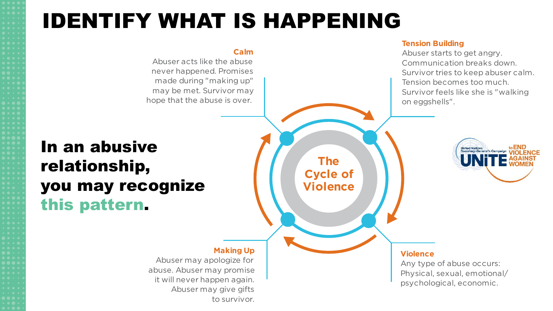### IDENTIFY WHAT IS HAPPENING

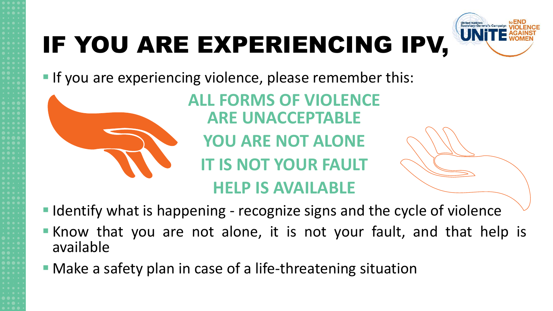# IF YOU ARE EXPERIENCING IPV,



If you are experiencing violence, please remember this:



**ALL FORMS OF VIOLENCE ARE UNACCEPTABLE**

**YOU ARE NOT ALONE**

**IT IS NOT YOUR FAULT**

### **HELP IS AVAILABLE**

■ Identify what is happening - recognize signs and the cycle of violence

- **Khow that you are not alone, it is not your fault, and that help is** available
- Make a safety plan in case of a life-threatening situation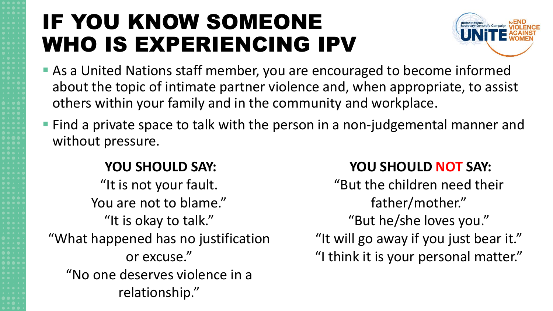## IF YOU KNOW SOMEONE WHO IS EXPERIENCING IPV



- As a United Nations staff member, you are encouraged to become informed about the topic of intimate partner violence and, when appropriate, to assist others within your family and in the community and workplace.
- **Find a private space to talk with the person in a non-judgemental manner and** without pressure.

#### **YOU SHOULD SAY:**

"It is not your fault. You are not to blame." "It is okay to talk." "What happened has no justification or excuse." "No one deserves violence in a relationship."

#### **YOU SHOULD NOT SAY:**

"But the children need their father/mother." "But he/she loves you." "It will go away if you just bear it." "I think it is your personal matter."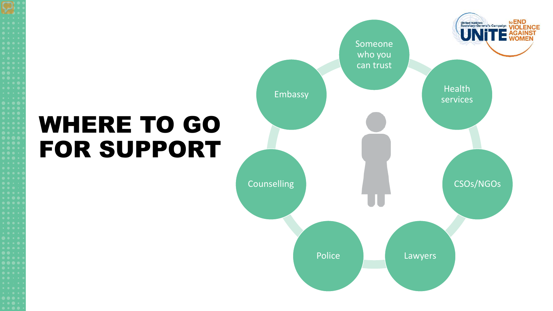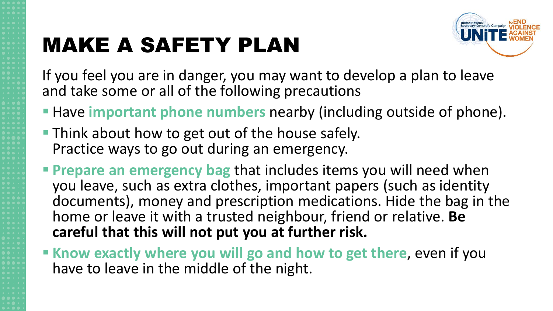# MAKE A SAFETY PLAN



If you feel you are in danger, you may want to develop a plan to leave and take some or all of the following precautions

- **Have important phone numbers** nearby (including outside of phone).
- **Think about how to get out of the house safely.** Practice ways to go out during an emergency.
- **Prepare an emergency bag** that includes items you will need when you leave, such as extra clothes, important papers (such as identity documents), money and prescription medications. Hide the bag in the home or leave it with a trusted neighbour, friend or relative. **Be careful that this will not put you at further risk.**
- **Khow exactly where you will go and how to get there, even if you** have to leave in the middle of the night.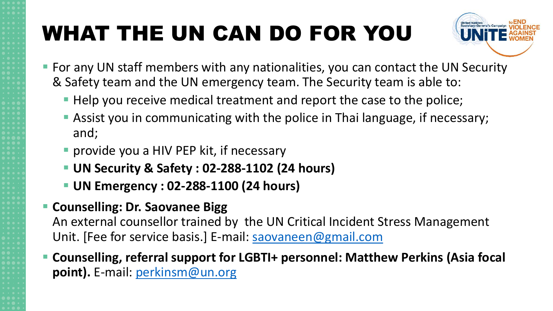# WHAT THE UN CAN DO FOR YOU



- For any UN staff members with any nationalities, you can contact the UN Security & Safety team and the UN emergency team. The Security team is able to:
	- Help you receive medical treatment and report the case to the police;
	- Assist you in communicating with the police in Thai language, if necessary; and;
	- **P** provide you a HIV PEP kit, if necessary
	- **UN Security & Safety : 02-288-1102 (24 hours)**
	- **UN Emergency : 02-288-1100 (24 hours)**
- **E** Counselling: Dr. Saovanee Bigg

An external counsellor trained by the UN Critical Incident Stress Management Unit. [Fee for service basis.] E-mail: [saovaneen@gmail.com](mailto:saovaneen@gmail.com)

 **Counselling, referral support for LGBTI+ personnel: Matthew Perkins (Asia focal point).** E-mail: [perkinsm@un.org](mailto:perkinsm@un.org)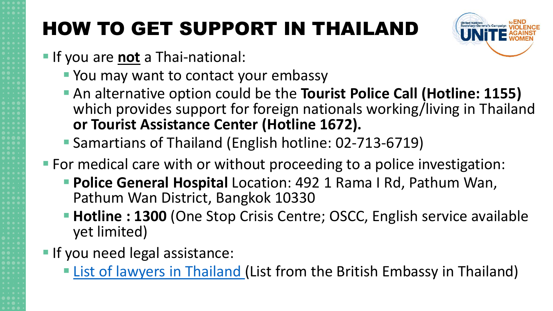### HOW TO GET SUPPORT IN THAILAND

- **If you are not a Thai-national:** 
	- **You may want to contact your embassy**
	- An alternative option could be the **Tourist Police Call (Hotline: 1155)** which provides support for foreign nationals working/living in Thailand **or Tourist Assistance Center (Hotline 1672).**
	- Samartians of Thailand (English hotline: 02-713-6719)
- For medical care with or without proceeding to a police investigation:
	- **Police General Hospital** Location: 492 1 Rama I Rd, Pathum Wan, Pathum Wan District, Bangkok 10330
	- Hotline : 1300 (One Stop Crisis Centre; OSCC, English service available yet limited)
- **If you need legal assistance:** 
	- **Example 2** [List of lawyers in Thailand](https://www.gov.uk/government/publications/thailand-list-of-lawyers/list-pf-lawyers-in-thailand) (List from the British Embassy in Thailand)